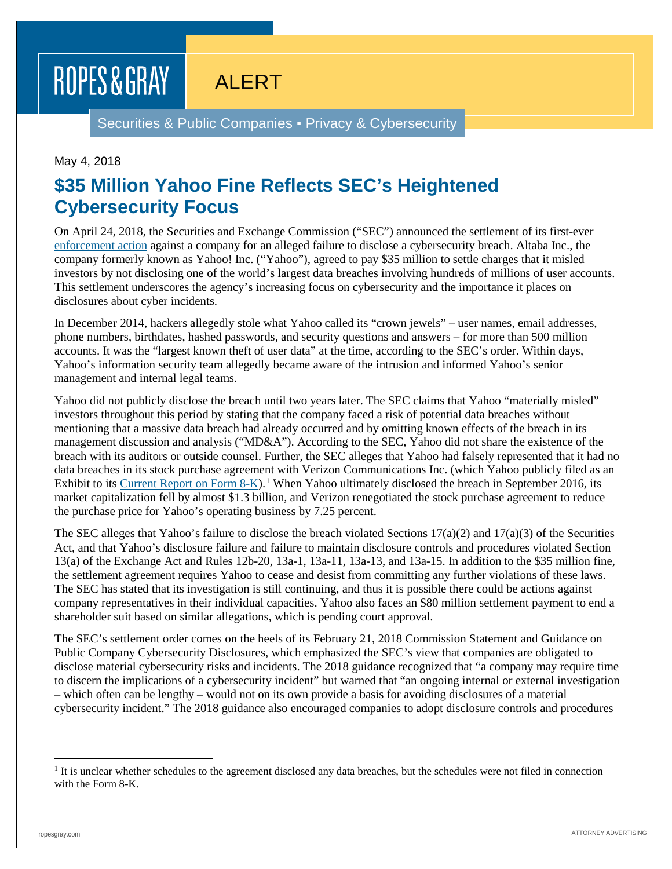## ROPES & GRAY ALERT

Securities & Public Companies ▪ Privacy & Cybersecurity

## May 4, 2018

## **\$35 Million Yahoo Fine Reflects SEC's Heightened Cybersecurity Focus**

On April 24, 2018, the Securities and Exchange Commission ("SEC") announced the settlement of its first-ever [enforcement action](https://www.sec.gov/litigation/admin/2018/33-10485.pdf) against a company for an alleged failure to disclose a cybersecurity breach. Altaba Inc., the company formerly known as Yahoo! Inc. ("Yahoo"), agreed to pay \$35 million to settle charges that it misled investors by not disclosing one of the world's largest data breaches involving hundreds of millions of user accounts. This settlement underscores the agency's increasing focus on cybersecurity and the importance it places on disclosures about cyber incidents.

In December 2014, hackers allegedly stole what Yahoo called its "crown jewels" – user names, email addresses, phone numbers, birthdates, hashed passwords, and security questions and answers – for more than 500 million accounts. It was the "largest known theft of user data" at the time, according to the SEC's order. Within days, Yahoo's information security team allegedly became aware of the intrusion and informed Yahoo's senior management and internal legal teams.

Yahoo did not publicly disclose the breach until two years later. The SEC claims that Yahoo "materially misled" investors throughout this period by stating that the company faced a risk of potential data breaches without mentioning that a massive data breach had already occurred and by omitting known effects of the breach in its management discussion and analysis ("MD&A"). According to the SEC, Yahoo did not share the existence of the breach with its auditors or outside counsel. Further, the SEC alleges that Yahoo had falsely represented that it had no data breaches in its stock purchase agreement with Verizon Communications Inc. (which Yahoo publicly filed as an Exhibit to its [Current Report on Form 8-K\)](https://www.sec.gov/Archives/edgar/data/1011006/000119312516656036/0001193125-16-656036-index.htm).<sup>[1](#page-0-0)</sup> When Yahoo ultimately disclosed the breach in September 2016, its market capitalization fell by almost \$1.3 billion, and Verizon renegotiated the stock purchase agreement to reduce the purchase price for Yahoo's operating business by 7.25 percent.

The SEC alleges that Yahoo's failure to disclose the breach violated Sections  $17(a)(2)$  and  $17(a)(3)$  of the Securities Act, and that Yahoo's disclosure failure and failure to maintain disclosure controls and procedures violated Section 13(a) of the Exchange Act and Rules 12b-20, 13a-1, 13a-11, 13a-13, and 13a-15. In addition to the \$35 million fine, the settlement agreement requires Yahoo to cease and desist from committing any further violations of these laws. The SEC has stated that its investigation is still continuing, and thus it is possible there could be actions against company representatives in their individual capacities. Yahoo also faces an \$80 million settlement payment to end a shareholder suit based on similar allegations, which is pending court approval.

The SEC's settlement order comes on the heels of its February 21, 2018 Commission Statement and Guidance on Public Company Cybersecurity Disclosures, which emphasized the SEC's view that companies are obligated to disclose material cybersecurity risks and incidents. The 2018 guidance recognized that "a company may require time to discern the implications of a cybersecurity incident" but warned that "an ongoing internal or external investigation – which often can be lengthy – would not on its own provide a basis for avoiding disclosures of a material cybersecurity incident." The 2018 guidance also encouraged companies to adopt disclosure controls and procedures

<span id="page-0-0"></span> $<sup>1</sup>$  It is unclear whether schedules to the agreement disclosed any data breaches, but the schedules were not filed in connection</sup> with the Form 8-K.